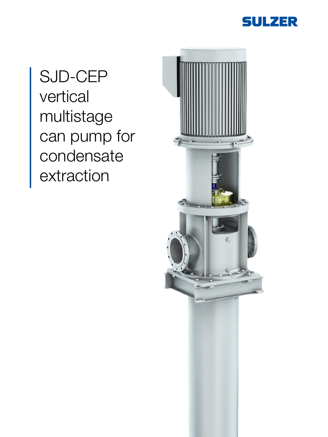

# SJD-CEP vertical multistage can pump for condensate extraction

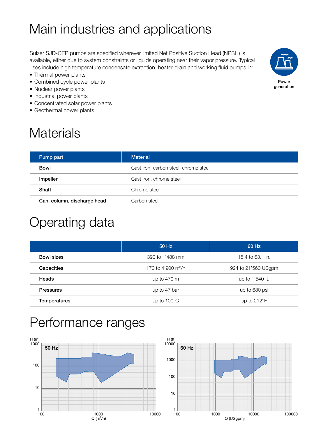# Main industries and applications

Sulzer SJD-CEP pumps are specified wherever limited Net Positive Suction Head (NPSH) is available, either due to system constraints or liquids operating near their vapor pressure. Typical uses include high temperature condensate extraction, heater drain and working fluid pumps in:

- Thermal power plants
- Combined cycle power plants
- Nuclear power plants
- Industrial power plants
- Concentrated solar power plants
- Geothermal power plants

# **Materials**

| Power<br>generation |
|---------------------|

| Pump part                   | <b>Material</b>                       |
|-----------------------------|---------------------------------------|
| <b>Bowl</b>                 | Cast iron, carbon steel, chrome steel |
| Impeller                    | Cast Iron, chrome steel               |
| Shaft                       | Chrome steel                          |
| Can, column, discharge head | Carbon steel                          |

## Operating data

|                     | 50 Hz                          | 60 Hz                |
|---------------------|--------------------------------|----------------------|
| <b>Bowl sizes</b>   | 390 to 1'488 mm                | 15.4 to 63.1 in.     |
| Capacities          | 170 to 4'900 m <sup>3</sup> /h | 924 to 21'560 USgpm  |
| Heads               | up to $470 \text{ m}$          | up to 1'540 ft.      |
| <b>Pressures</b>    | up to 47 bar                   | up to 680 psi        |
| <b>Temperatures</b> | up to $100^{\circ}$ C          | up to $212^{\circ}F$ |

## Performance ranges



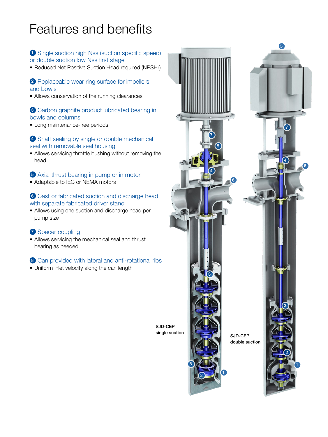# Features and benefits

### **1** Single suction high Nss (suction specific speed) or double suction low Nss first stage

• Reduced Net Positive Suction Head required (NPSHr)

#### 2 Replaceable wear ring surface for impellers and bowls

• Allows conservation of the running clearances

#### 3 Carbon graphite product lubricated bearing in bowls and columns

• Long maintenance-free periods

#### 4 Shaft sealing by single or double mechanical seal with removable seal housing

• Allows servicing throttle bushing without removing the head

### 5 Axial thrust bearing in pump or in motor

• Adaptable to IEC or NEMA motors

### 6 Cast or fabricated suction and discharge head with separate fabricated driver stand

• Allows using one suction and discharge head per pump size

#### <sup>2</sup> Spacer coupling

• Allows servicing the mechanical seal and thrust bearing as needed

### 8 Can provided with lateral and anti-rotational ribs

• Uniform inlet velocity along the can length



SJD-CEP